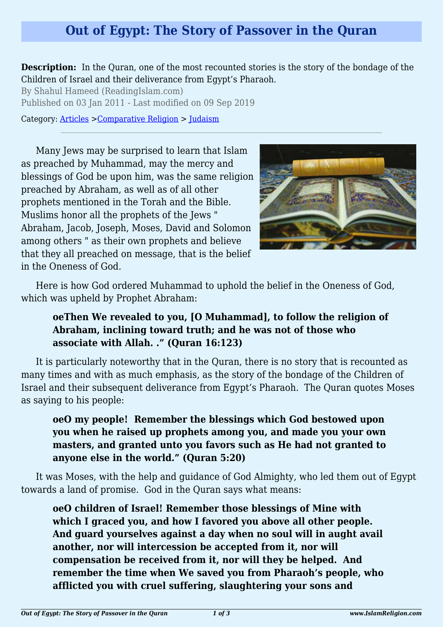## **Out of Egypt: The Story of Passover in the Quran**

**Description:** In the Quran, one of the most recounted stories is the story of the bondage of the Children of Israel and their deliverance from Egypt's Pharaoh.

By Shahul Hameed (ReadingIslam.com) Published on 03 Jan 2011 - Last modified on 09 Sep 2019

Category: [Articles](http://www.islamreligion.com/articles/) >[Comparative Religion](http://www.islamreligion.com/category/68/) > [Judaism](http://www.islamreligion.com/category/72/)

Many Jews may be surprised to learn that Islam as preached by Muhammad, may the mercy and blessings of God be upon him, was the same religion preached by Abraham, as well as of all other prophets mentioned in the Torah and the Bible. Muslims honor all the prophets of the Jews " Abraham, Jacob, Joseph, Moses, David and Solomon among others " as their own prophets and believe that they all preached on message, that is the belief in the Oneness of God.



Here is how God ordered Muhammad to uphold the belief in the Oneness of God, which was upheld by Prophet Abraham:

## **oeThen We revealed to you, [O Muhammad], to follow the religion of Abraham, inclining toward truth; and he was not of those who associate with Allah. ." (Quran 16:123)**

It is particularly noteworthy that in the Quran, there is no story that is recounted as many times and with as much emphasis, as the story of the bondage of the Children of Israel and their subsequent deliverance from Egypt's Pharaoh. The Quran quotes Moses as saying to his people:

## **oeO my people! Remember the blessings which God bestowed upon you when he raised up prophets among you, and made you your own masters, and granted unto you favors such as He had not granted to anyone else in the world." (Quran 5:20)**

It was Moses, with the help and guidance of God Almighty, who led them out of Egypt towards a land of promise. God in the Quran says what means:

**oeO children of Israel! Remember those blessings of Mine with which I graced you, and how I favored you above all other people. And guard yourselves against a day when no soul will in aught avail another, nor will intercession be accepted from it, nor will compensation be received from it, nor will they be helped. And remember the time when We saved you from Pharaoh's people, who afflicted you with cruel suffering, slaughtering your sons and**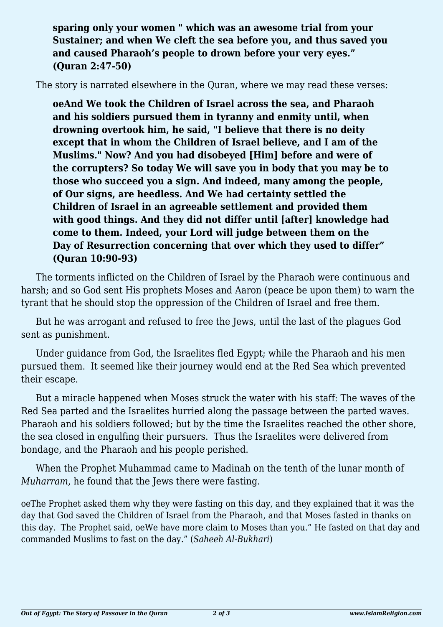**sparing only your women " which was an awesome trial from your Sustainer; and when We cleft the sea before you, and thus saved you and caused Pharaoh's people to drown before your very eyes." (Quran 2:47-50)**

The story is narrated elsewhere in the Quran, where we may read these verses:

**oeAnd We took the Children of Israel across the sea, and Pharaoh and his soldiers pursued them in tyranny and enmity until, when drowning overtook him, he said, "I believe that there is no deity except that in whom the Children of Israel believe, and I am of the Muslims." Now? And you had disobeyed [Him] before and were of the corrupters? So today We will save you in body that you may be to those who succeed you a sign. And indeed, many among the people, of Our signs, are heedless. And We had certainty settled the Children of Israel in an agreeable settlement and provided them with good things. And they did not differ until [after] knowledge had come to them. Indeed, your Lord will judge between them on the Day of Resurrection concerning that over which they used to differ" (Quran 10:90-93)**

The torments inflicted on the Children of Israel by the Pharaoh were continuous and harsh; and so God sent His prophets Moses and Aaron (peace be upon them) to warn the tyrant that he should stop the oppression of the Children of Israel and free them.

But he was arrogant and refused to free the Jews, until the last of the plagues God sent as punishment.

Under guidance from God, the Israelites fled Egypt; while the Pharaoh and his men pursued them. It seemed like their journey would end at the Red Sea which prevented their escape.

But a miracle happened when Moses struck the water with his staff: The waves of the Red Sea parted and the Israelites hurried along the passage between the parted waves. Pharaoh and his soldiers followed; but by the time the Israelites reached the other shore, the sea closed in engulfing their pursuers. Thus the Israelites were delivered from bondage, and the Pharaoh and his people perished.

When the Prophet Muhammad came to Madinah on the tenth of the lunar month of *Muharram*, he found that the Jews there were fasting.

oeThe Prophet asked them why they were fasting on this day, and they explained that it was the day that God saved the Children of Israel from the Pharaoh, and that Moses fasted in thanks on this day. The Prophet said, oeWe have more claim to Moses than you." He fasted on that day and commanded Muslims to fast on the day." (*Saheeh Al-Bukhari*)